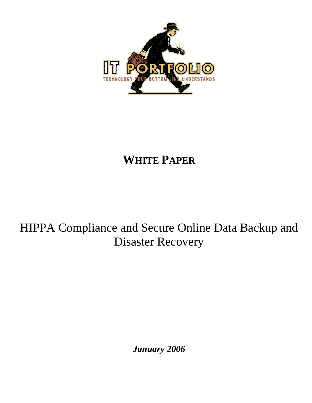

## **WHITE PAPER**

# HIPPA Compliance and Secure Online Data Backup and Disaster Recovery

*January 2006*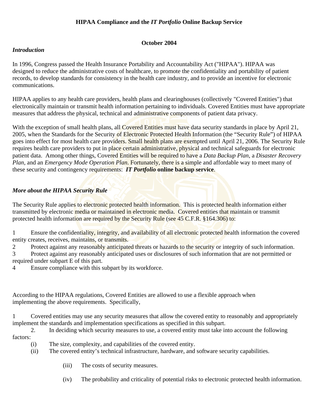## **HIPAA Compliance and the** *IT Portfolio* **Online Backup Service**

## **October 2004**

## *Introduction*

In 1996, Congress passed the Health Insurance Portability and Accountability Act ("HIPAA"). HIPAA was designed to reduce the administrative costs of healthcare, to promote the confidentiality and portability of patient records, to develop standards for consistency in the health care industry, and to provide an incentive for electronic communications.

HIPAA applies to any health care providers, health plans and clearinghouses (collectively "Covered Entities") that electronically maintain or transmit health information pertaining to individuals. Covered Entities must have appropriate measures that address the physical, technical and administrative components of patient data privacy.

With the exception of small health plans, all Covered Entities must have data security standards in place by April 21, 2005, when the Standards for the Security of Electronic Protected Health Information (the "Security Rule") of HIPAA goes into effect for most health care providers. Small health plans are exempted until April 21, 2006. The Security Rule requires health care providers to put in place certain administrative, physical and technical safeguards for electronic patient data. Among other things, Covered Entities will be required to have a *Data Backup Plan*, a *Disaster Recovery Plan*, and an *Emergency Mode Operation Plan*. Fortunately, there is a simple and affordable way to meet many of these security and contingency requirements: *IT Portfolio* **online backup service**.

## *More about the HIPAA Security Rule*

The Security Rule applies to electronic protected health information. This is protected health information either transmitted by electronic media or maintained in electronic media. Covered entities that maintain or transmit protected health information are required by the Security Rule (see 45 C.F.R. §164.306) to:

1 Ensure the confidentiality, integrity, and availability of all electronic protected health information the covered entity creates, receives, maintains, or transmits.

2 Protect against any reasonably anticipated threats or hazards to the security or integrity of such information.

3 Protect against any reasonably anticipated uses or disclosures of such information that are not permitted or required under subpart E of this part.

4 Ensure compliance with this subpart by its workforce.

According to the HIPAA regulations, Covered Entities are allowed to use a flexible approach when implementing the above requirements. Specifically,

1 Covered entities may use any security measures that allow the covered entity to reasonably and appropriately implement the standards and implementation specifications as specified in this subpart.

2. In deciding which security measures to use, a covered entity must take into account the following factors:

- (i) The size, complexity, and capabilities of the covered entity.
- (ii) The covered entity's technical infrastructure, hardware, and software security capabilities.
	- (iii) The costs of security measures.
	- (iv) The probability and criticality of potential risks to electronic protected health information.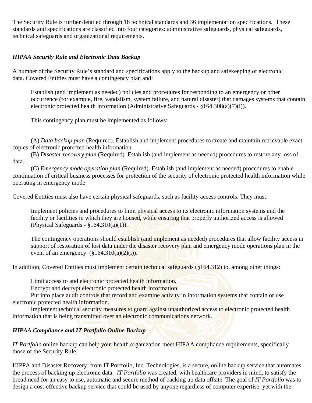The Security Rule is further detailed through 18 technical standards and 36 implementation specifications. These standards and specifications are classified into four categories: administrative safeguards, physical safeguards, technical safeguards and organizational requirements.

## *HIPAA Security Rule and Electronic Data Backup*

A number of the Security Rule's standard and specifications apply to the backup and safekeeping of electronic data. Covered Entities must have a contingency plan and:

Establish (and implement as needed) policies and procedures for responding to an emergency or other occurrence (for example, fire, vandalism, system failure, and natural disaster) that damages systems that contain electronic protected health information (Administrative Safeguards - §164.308(a)(7)(i)).

This contingency plan must be implemented as follows:

(A) *Data backup plan* (Required). Establish and implement procedures to create and maintain retrievable exact copies of electronic protected health information.

(B) *Disaster recovery plan* (Required). Establish (and implement as needed) procedures to restore any loss of data.

(C) *Emergency mode operation plan* (Required). Establish (and implement as needed) procedures to enable continuation of critical business processes for protection of the security of electronic protected health information while operating in emergency mode.

Covered Entities must also have certain physical safeguards, such as facility access controls. They must:

Implement policies and procedures to limit physical access to its electronic information systems and the facility or facilities in which they are housed, while ensuring that properly authorized access is allowed (Physical Safeguards -  $$164.310(a)(1)$ ).

The contingency operations should establish (and implement as needed) procedures that allow facility access in support of restoration of lost data under the disaster recovery plan and emergency mode operations plan in the event of an emergency  $(\frac{164.310(a)(2)(i)}{i})$ .

In addition, Covered Entities must implement certain technical safeguards (§164.312) to, among other things:

Limit access to and electronic protected health information.

Encrypt and decrypt electronic protected health information.

Put into place audit controls that record and examine activity in information systems that contain or use electronic protected health information.

Implement technical security measures to guard against unauthorized access to electronic protected health information that is being transmitted over an electronic communications network.

## *HIPAA Compliance and IT Portfolio Online Backup*

*IT Portfolio* online backup can help your health organization meet HIPAA compliance requirements, specifically those of the Security Rule.

HIPPA and Disaster Recovery, from IT Portfolio, Inc. Technologies, is a secure, online backup service that automates the process of backing up electronic data. *IT Portfolio* was created, with healthcare providers in mind, to satisfy the broad need for an easy to use, automatic and secure method of backing up data offsite. The goal of *IT Portfolio* was to design a cost-effective backup service that could be used by anyone regardless of computer expertise, yet with the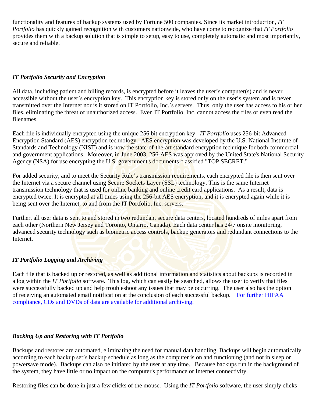functionality and features of backup systems used by Fortune 500 companies. Since its market introduction, *IT Portfolio* has quickly gained recognition with customers nationwide, who have come to recognize that *IT Portfolio*  provides them with a backup solution that is simple to setup, easy to use, completely automatic and most importantly, secure and reliable.

## *IT Portfolio Security and Encryption*

All data, including patient and billing records, is encrypted before it leaves the user's computer(s) and is never accessible without the user's encryption key. This encryption key is stored only on the user's system and is never transmitted over the Internet nor is it stored on IT Portfolio, Inc.'s servers. Thus, only the user has access to his or her files, eliminating the threat of unauthorized access. Even IT Portfolio, Inc. cannot access the files or even read the filenames.

Each file is individually encrypted using the unique 256 bit encryption key. *IT Portfolio* uses 256-bit Advanced Encryption Standard (AES) encryption technology. AES encryption was developed by the U.S. National Institute of Standards and Technology (NIST) and is now the state-of-the-art standard encryption technique for both commercial and government applications. Moreover, in June 2003, 256-AES was approved by the United State's National Security Agency (NSA) for use encrypting the U.S. government's documents classified "TOP SECRET."

For added security, and to meet the Security Rule's transmission requirements, each encrypted file is then sent over the Internet via a secure channel using Secure Sockets Layer (SSL) technology. This is the same Internet transmission technology that is used for online banking and online credit card applications. As a result, data is encrypted twice. It is encrypted at all times using the 256-bit AES encryption, and it is encrypted again while it is being sent over the Internet, to and from the IT Portfolio, Inc. servers.

Further, all user data is sent to and stored in two redundant secure data centers, located hundreds of miles apart from each other (Northern New Jersey and Toronto, Ontario, Canada). Each data center has 24/7 onsite monitoring, advanced security technology such as biometric access controls, backup generators and redundant connections to the Internet.

## *IT Portfolio Logging and Archiving*

Each file that is backed up or restored, as well as additional information and statistics about backups is recorded in a log within the *IT Portfolio* software. This log, which can easily be searched, allows the user to verify that files were successfully backed up and help troubleshoot any issues that may be occurring. The user also has the option of receiving an automated email notification at the conclusion of each successful backup. For further HIPAA compliance, CDs and DVDs of data are available for additional archiving.

## *Backing Up and Restoring with IT Portfolio*

Backups and restores are automated, eliminating the need for manual data handling. Backups will begin automatically according to each backup set's backup schedule as long as the computer is on and functioning (and not in sleep or powersave mode). Backups can also be initiated by the user at any time. Because backups run in the background of the system, they have little or no impact on the computer's performance or Internet connectivity.

Restoring files can be done in just a few clicks of the mouse. Using the *IT Portfolio* software, the user simply clicks